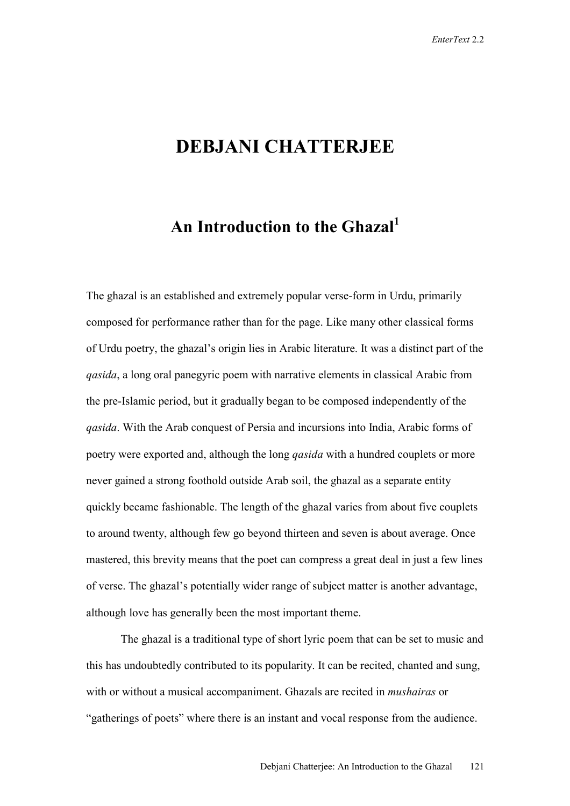## **DEBJANI CHATTERJEE**

## An Introduction to the Ghazal<sup>1</sup>

The ghazal is an established and extremely popular verse-form in Urdu, primarily composed for performance rather than for the page. Like many other classical forms of Urdu poetry, the ghazal's origin lies in Arabic literature. It was a distinct part of the *qasida*, a long oral panegyric poem with narrative elements in classical Arabic from the pre-Islamic period, but it gradually began to be composed independently of the *qasida*. With the Arab conquest of Persia and incursions into India, Arabic forms of poetry were exported and, although the long *qasida* with a hundred couplets or more never gained a strong foothold outside Arab soil, the ghazal as a separate entity quickly became fashionable. The length of the ghazal varies from about five couplets to around twenty, although few go beyond thirteen and seven is about average. Once mastered, this brevity means that the poet can compress a great deal in just a few lines of verse. The ghazal's potentially wider range of subject matter is another advantage, although love has generally been the most important theme.

 The ghazal is a traditional type of short lyric poem that can be set to music and this has undoubtedly contributed to its popularity. It can be recited, chanted and sung, with or without a musical accompaniment. Ghazals are recited in *mushairas* or "gatherings of poets" where there is an instant and vocal response from the audience.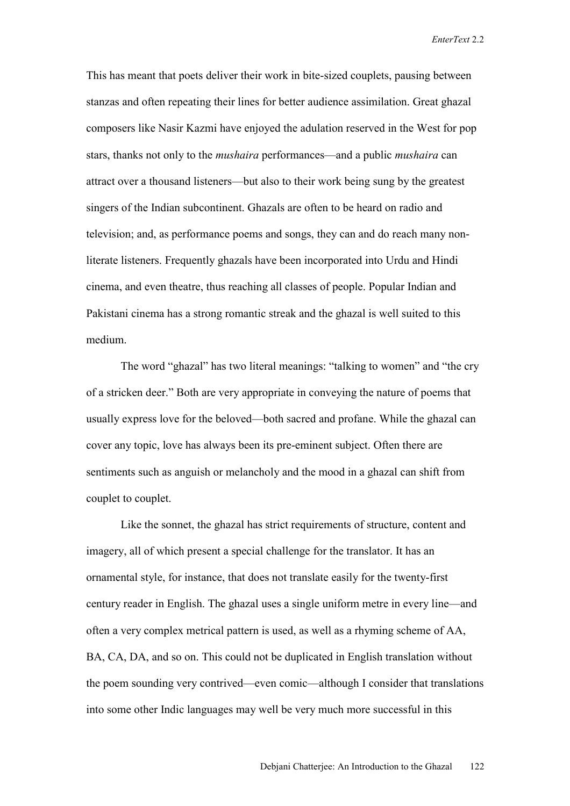*EnterText* 2.2

This has meant that poets deliver their work in bite-sized couplets, pausing between stanzas and often repeating their lines for better audience assimilation. Great ghazal composers like Nasir Kazmi have enjoyed the adulation reserved in the West for pop stars, thanks not only to the *mushaira* performances—and a public *mushaira* can attract over a thousand listeners—but also to their work being sung by the greatest singers of the Indian subcontinent. Ghazals are often to be heard on radio and television; and, as performance poems and songs, they can and do reach many nonliterate listeners. Frequently ghazals have been incorporated into Urdu and Hindi cinema, and even theatre, thus reaching all classes of people. Popular Indian and Pakistani cinema has a strong romantic streak and the ghazal is well suited to this medium.

 The word "ghazal" has two literal meanings: "talking to women" and "the cry of a stricken deer." Both are very appropriate in conveying the nature of poems that usually express love for the beloved—both sacred and profane. While the ghazal can cover any topic, love has always been its pre-eminent subject. Often there are sentiments such as anguish or melancholy and the mood in a ghazal can shift from couplet to couplet.

 Like the sonnet, the ghazal has strict requirements of structure, content and imagery, all of which present a special challenge for the translator. It has an ornamental style, for instance, that does not translate easily for the twenty-first century reader in English. The ghazal uses a single uniform metre in every line—and often a very complex metrical pattern is used, as well as a rhyming scheme of AA, BA, CA, DA, and so on. This could not be duplicated in English translation without the poem sounding very contrived—even comic—although I consider that translations into some other Indic languages may well be very much more successful in this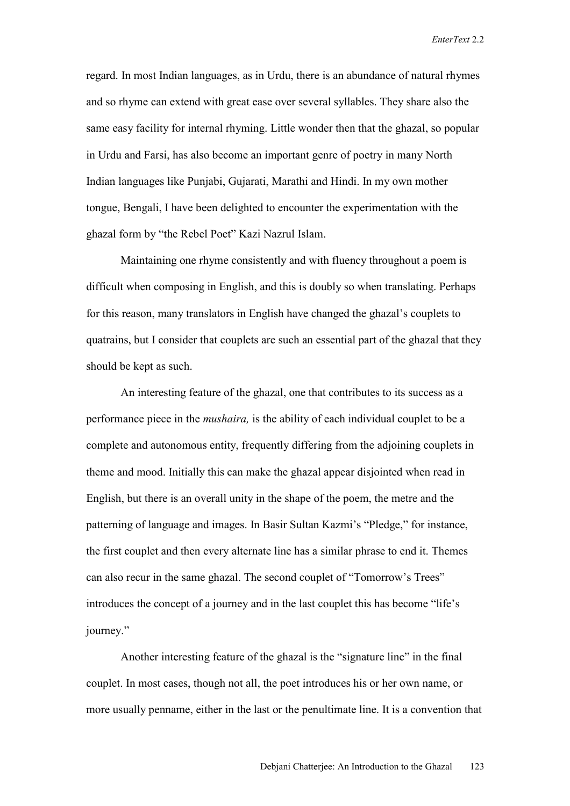*EnterText* 2.2

regard. In most Indian languages, as in Urdu, there is an abundance of natural rhymes and so rhyme can extend with great ease over several syllables. They share also the same easy facility for internal rhyming. Little wonder then that the ghazal, so popular in Urdu and Farsi, has also become an important genre of poetry in many North Indian languages like Punjabi, Gujarati, Marathi and Hindi. In my own mother tongue, Bengali, I have been delighted to encounter the experimentation with the ghazal form by "the Rebel Poet" Kazi Nazrul Islam.

 Maintaining one rhyme consistently and with fluency throughout a poem is difficult when composing in English, and this is doubly so when translating. Perhaps for this reason, many translators in English have changed the ghazal's couplets to quatrains, but I consider that couplets are such an essential part of the ghazal that they should be kept as such.

 An interesting feature of the ghazal, one that contributes to its success as a performance piece in the *mushaira,* is the ability of each individual couplet to be a complete and autonomous entity, frequently differing from the adjoining couplets in theme and mood. Initially this can make the ghazal appear disjointed when read in English, but there is an overall unity in the shape of the poem, the metre and the patterning of language and images. In Basir Sultan Kazmi's "Pledge," for instance, the first couplet and then every alternate line has a similar phrase to end it. Themes can also recur in the same ghazal. The second couplet of "Tomorrow's Trees" introduces the concept of a journey and in the last couplet this has become "life's journey."

 Another interesting feature of the ghazal is the "signature line" in the final couplet. In most cases, though not all, the poet introduces his or her own name, or more usually penname, either in the last or the penultimate line. It is a convention that